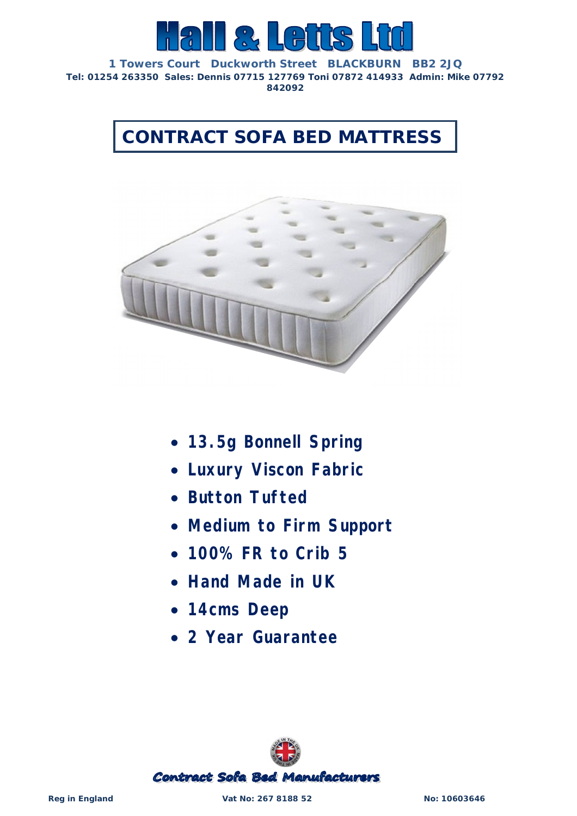

**1 Towers Court Duckworth Street BLACKBURN BB2 2JQ Tel: 01254 263350 Sales: Dennis 07715 127769 Toni 07872 414933 Admin: Mike 07792 842092**

**CONTRACT SOFA BED MATTRESS**



- *13.5g Bonnell Spring*
- *Luxury Viscon Fabric*
- *Button Tufted*
- *Medium to Firm Support*
- *100% FR to Crib 5*
- *Hand Made in UK*
- *14cms Deep*
- *2 Year Guarantee*



**Reg in England Vat No: 267 8188 52 No: 10603646**